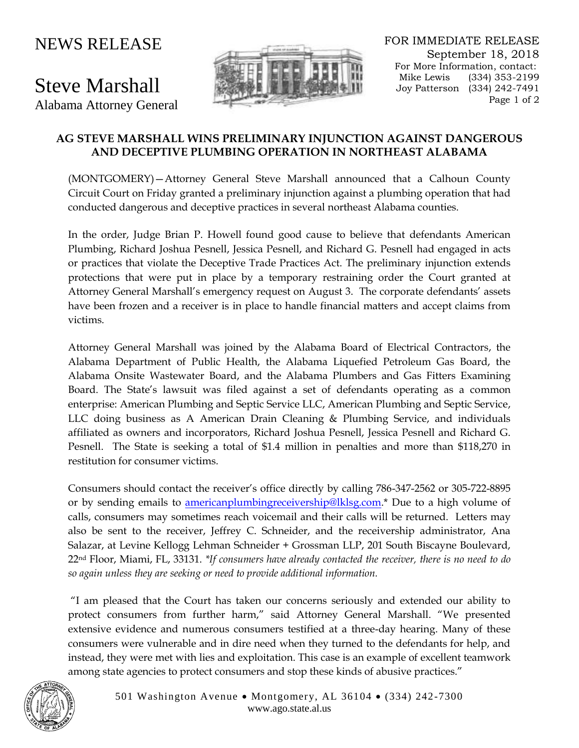## NEWS RELEASE

## Steve Marshall

Alabama Attorney General



FOR IMMEDIATE RELEASE September 18, 2018 For More Information, contact: Mike Lewis (334) 353-2199 Joy Patterson (334) 242-7491 Page 1 of 2

## **AG STEVE MARSHALL WINS PRELIMINARY INJUNCTION AGAINST DANGEROUS AND DECEPTIVE PLUMBING OPERATION IN NORTHEAST ALABAMA**

(MONTGOMERY)—Attorney General Steve Marshall announced that a Calhoun County Circuit Court on Friday granted a preliminary injunction against a plumbing operation that had conducted dangerous and deceptive practices in several northeast Alabama counties.

In the order, Judge Brian P. Howell found good cause to believe that defendants American Plumbing, Richard Joshua Pesnell, Jessica Pesnell, and Richard G. Pesnell had engaged in acts or practices that violate the Deceptive Trade Practices Act. The preliminary injunction extends protections that were put in place by a temporary restraining order the Court granted at Attorney General Marshall's emergency request on August 3. The corporate defendants' assets have been frozen and a receiver is in place to handle financial matters and accept claims from victims.

Attorney General Marshall was joined by the Alabama Board of Electrical Contractors, the Alabama Department of Public Health, the Alabama Liquefied Petroleum Gas Board, the Alabama Onsite Wastewater Board, and the Alabama Plumbers and Gas Fitters Examining Board. The State's lawsuit was filed against a set of defendants operating as a common enterprise: American Plumbing and Septic Service LLC, American Plumbing and Septic Service, LLC doing business as A American Drain Cleaning & Plumbing Service, and individuals affiliated as owners and incorporators, Richard Joshua Pesnell, Jessica Pesnell and Richard G. Pesnell. The State is seeking a total of \$1.4 million in penalties and more than \$118,270 in restitution for consumer victims.

Consumers should contact the receiver's office directly by calling 786-347-2562 or 305-722-8895 or by sending emails to [americanplumbingreceivership@lklsg.com.](mailto:americanplumbingreceivership@lklsg.com)\* Due to a high volume of calls, consumers may sometimes reach voicemail and their calls will be returned. Letters may also be sent to the receiver, Jeffrey C. Schneider, and the receivership administrator, Ana Salazar, at Levine Kellogg Lehman Schneider + Grossman LLP, 201 South Biscayne Boulevard, 22nd Floor, Miami, FL, 33131. *\*If consumers have already contacted the receiver, there is no need to do so again unless they are seeking or need to provide additional information.*

"I am pleased that the Court has taken our concerns seriously and extended our ability to protect consumers from further harm," said Attorney General Marshall. "We presented extensive evidence and numerous consumers testified at a three-day hearing. Many of these consumers were vulnerable and in dire need when they turned to the defendants for help, and instead, they were met with lies and exploitation. This case is an example of excellent teamwork among state agencies to protect consumers and stop these kinds of abusive practices."